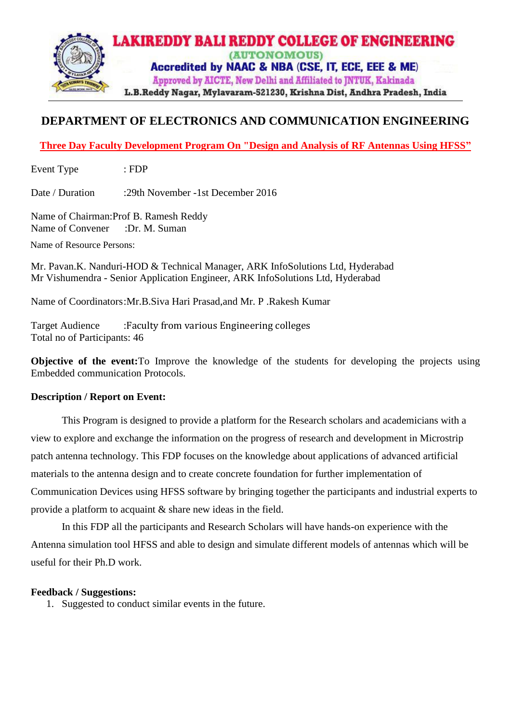

## **DEPARTMENT OF ELECTRONICS AND COMMUNICATION ENGINEERING**

## **Three Day Faculty Development Program On "Design and Analysis of RF Antennas Using HFSS"**

Event Type : FDP

Date / Duration :29th November -1st December 2016

Name of Chairman:Prof B. Ramesh Reddy Name of Convener :Dr. M. Suman

Name of Resource Persons:

Mr. Pavan.K. Nanduri-HOD & Technical Manager, ARK InfoSolutions Ltd, Hyderabad Mr Vishumendra - Senior Application Engineer, ARK InfoSolutions Ltd, Hyderabad

Name of Coordinators:Mr.B.Siva Hari Prasad,and Mr. P .Rakesh Kumar

Target Audience : Faculty from various Engineering colleges Total no of Participants: 46

**Objective of the event:**To Improve the knowledge of the students for developing the projects using Embedded communication Protocols.

## **Description / Report on Event:**

This Program is designed to provide a platform for the Research scholars and academicians with a view to explore and exchange the information on the progress of research and development in Microstrip patch antenna technology. This FDP focuses on the knowledge about applications of advanced artificial materials to the antenna design and to create concrete foundation for further implementation of Communication Devices using HFSS software by bringing together the participants and industrial experts to provide a platform to acquaint & share new ideas in the field.

In this FDP all the participants and Research Scholars will have hands-on experience with the Antenna simulation tool HFSS and able to design and simulate different models of antennas which will be useful for their Ph.D work.

## **Feedback / Suggestions:**

1. Suggested to conduct similar events in the future.